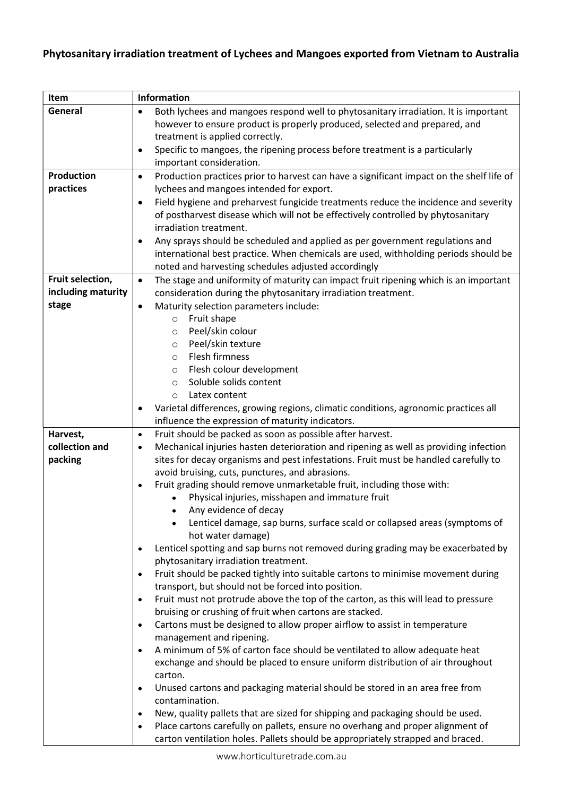## Phytosanitary irradiation treatment of Lychees and Mangoes exported from Vietnam to Australia

| Item               | <b>Information</b>                                                                                                  |
|--------------------|---------------------------------------------------------------------------------------------------------------------|
| General            | Both lychees and mangoes respond well to phytosanitary irradiation. It is important<br>$\bullet$                    |
|                    | however to ensure product is properly produced, selected and prepared, and                                          |
|                    | treatment is applied correctly.                                                                                     |
|                    | Specific to mangoes, the ripening process before treatment is a particularly<br>$\bullet$                           |
|                    | important consideration.                                                                                            |
| <b>Production</b>  | Production practices prior to harvest can have a significant impact on the shelf life of<br>٠                       |
| practices          | lychees and mangoes intended for export.                                                                            |
|                    | Field hygiene and preharvest fungicide treatments reduce the incidence and severity<br>$\bullet$                    |
|                    | of postharvest disease which will not be effectively controlled by phytosanitary                                    |
|                    | irradiation treatment.                                                                                              |
|                    | Any sprays should be scheduled and applied as per government regulations and<br>$\bullet$                           |
|                    | international best practice. When chemicals are used, withholding periods should be                                 |
|                    | noted and harvesting schedules adjusted accordingly                                                                 |
| Fruit selection,   | The stage and uniformity of maturity can impact fruit ripening which is an important<br>$\bullet$                   |
| including maturity | consideration during the phytosanitary irradiation treatment.                                                       |
| stage              | Maturity selection parameters include:<br>٠                                                                         |
|                    | Fruit shape<br>$\circ$                                                                                              |
|                    | Peel/skin colour<br>$\circ$                                                                                         |
|                    | Peel/skin texture<br>$\circ$                                                                                        |
|                    | Flesh firmness<br>$\circ$                                                                                           |
|                    | Flesh colour development<br>$\circ$                                                                                 |
|                    | Soluble solids content<br>$\circ$                                                                                   |
|                    | Latex content<br>$\circ$                                                                                            |
|                    | Varietal differences, growing regions, climatic conditions, agronomic practices all<br>٠                            |
|                    | influence the expression of maturity indicators.                                                                    |
| Harvest,           | Fruit should be packed as soon as possible after harvest.<br>$\bullet$                                              |
| collection and     | Mechanical injuries hasten deterioration and ripening as well as providing infection<br>$\bullet$                   |
| packing            | sites for decay organisms and pest infestations. Fruit must be handled carefully to                                 |
|                    | avoid bruising, cuts, punctures, and abrasions.                                                                     |
|                    | Fruit grading should remove unmarketable fruit, including those with:<br>$\bullet$                                  |
|                    | Physical injuries, misshapen and immature fruit                                                                     |
|                    | Any evidence of decay                                                                                               |
|                    | Lenticel damage, sap burns, surface scald or collapsed areas (symptoms of                                           |
|                    | hot water damage)                                                                                                   |
|                    | Lenticel spotting and sap burns not removed during grading may be exacerbated by<br>٠                               |
|                    | phytosanitary irradiation treatment.                                                                                |
|                    | Fruit should be packed tightly into suitable cartons to minimise movement during<br>$\bullet$                       |
|                    | transport, but should not be forced into position.                                                                  |
|                    | Fruit must not protrude above the top of the carton, as this will lead to pressure<br>$\bullet$                     |
|                    | bruising or crushing of fruit when cartons are stacked.                                                             |
|                    | Cartons must be designed to allow proper airflow to assist in temperature<br>$\bullet$                              |
|                    | management and ripening.<br>A minimum of 5% of carton face should be ventilated to allow adequate heat<br>$\bullet$ |
|                    | exchange and should be placed to ensure uniform distribution of air throughout                                      |
|                    | carton.                                                                                                             |
|                    | Unused cartons and packaging material should be stored in an area free from<br>$\bullet$                            |
|                    | contamination.                                                                                                      |
|                    | New, quality pallets that are sized for shipping and packaging should be used.<br>٠                                 |
|                    | Place cartons carefully on pallets, ensure no overhang and proper alignment of<br>٠                                 |
|                    | carton ventilation holes. Pallets should be appropriately strapped and braced.                                      |